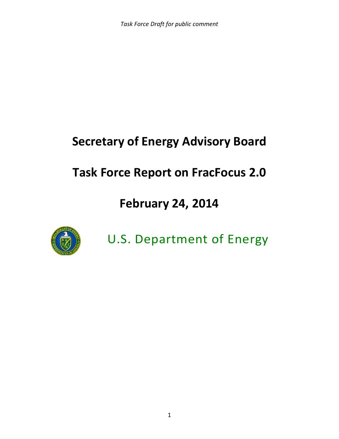# **Secretary of Energy Advisory Board**

# **Task Force Report on FracFocus 2.0**

# **February 24, 2014**



U.S. Department of Energy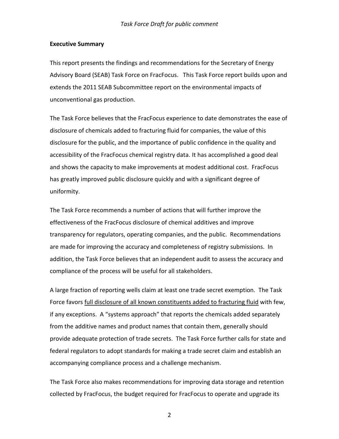#### **Executive Summary**

This report presents the findings and recommendations for the Secretary of Energy Advisory Board (SEAB) Task Force on FracFocus. This Task Force report builds upon and extends the 2011 SEAB Subcommittee report on the environmental impacts of unconventional gas production.

The Task Force believes that the FracFocus experience to date demonstrates the ease of disclosure of chemicals added to fracturing fluid for companies, the value of this disclosure for the public, and the importance of public confidence in the quality and accessibility of the FracFocus chemical registry data. It has accomplished a good deal and shows the capacity to make improvements at modest additional cost. FracFocus has greatly improved public disclosure quickly and with a significant degree of uniformity.

The Task Force recommends a number of actions that will further improve the effectiveness of the FracFocus disclosure of chemical additives and improve transparency for regulators, operating companies, and the public. Recommendations are made for improving the accuracy and completeness of registry submissions. In addition, the Task Force believes that an independent audit to assess the accuracy and compliance of the process will be useful for all stakeholders.

A large fraction of reporting wells claim at least one trade secret exemption. The Task Force favors full disclosure of all known constituents added to fracturing fluid with few, if any exceptions. A "systems approach" that reports the chemicals added separately from the additive names and product names that contain them, generally should provide adequate protection of trade secrets. The Task Force further calls for state and federal regulators to adopt standards for making a trade secret claim and establish an accompanying compliance process and a challenge mechanism.

The Task Force also makes recommendations for improving data storage and retention collected by FracFocus, the budget required for FracFocus to operate and upgrade its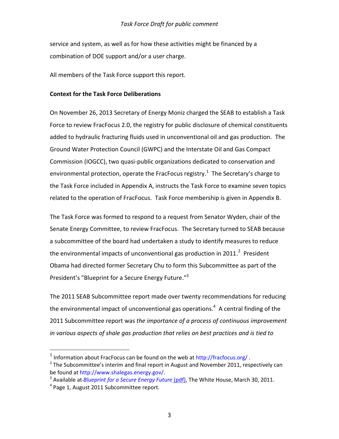service and system, as well as for how these activities might be financed by a combination of DOE support and/or a user charge.

All members of the Task Force support this report.

#### **Context for the Task Force Deliberations**

On November 26, 2013 Secretary of Energy Moniz charged the SEAB to establish a Task Force to review FracFocus 2.0, the registry for public disclosure of chemical constituents added to hydraulic fracturing fluids used in unconventional oil and gas production. The Ground Water Protection Council (GWPC) and the Interstate Oil and Gas Compact Commission (IOGCC), two quasi-public organizations dedicated to conservation and environmental protection, operate the FracFocus registry.<sup>1</sup> The Secretary's charge to the Task Force included in Appendix A, instructs the Task Force to examine seven topics related to the operation of FracFocus. Task Force membership is given in Appendix B.

The Task Force was formed to respond to a request from Senator Wyden, chair of the Senate Energy Committee, to review FracFocus. The Secretary turned to SEAB because a subcommittee of the board had undertaken a study to identify measures to reduce the environmental impacts of unconventional gas production in 2011.<sup>2</sup> President Obama had directed former Secretary Chu to form this Subcommittee as part of the President's "[Blueprint for a Secure Energy Future.](http://www.whitehouse.gov/sites/default/files/blueprint_secure_energy_future.pdf)"<sup>3</sup>

The 2011 SEAB Subcommittee report made over twenty recommendations for reducing the environmental impact of unconventional gas operations.<sup>4</sup> A central finding of the 2011 Subcommittee report was *the importance of a process of continuous improvement in various aspects of shale gas production that relies on best practices and is tied to* 

<sup>&</sup>lt;sup>1</sup> Information about FracFocus can be found on the web at<http://fracfocus.org/>.

<sup>&</sup>lt;sup>2</sup> The Subcommittee's interim and final report in August and November 2011, respectively can be found at [http://www.shalegas.energy.gov/.](http://www.shalegas.energy.gov/)

<sup>&</sup>lt;sup>3</sup> Available at *[Blueprint for a Secure Energy Future](http://www.google.com/url?sa=t&rct=j&q=&esrc=s&source=web&cd=1&ved=0CC4QFjAA&url=http%3A%2F%2Fwww.whitehouse.gov%2Fsites%2Fdefault%2Ffiles%2Fblueprint_secure_energy_future.pdf&ei=8ICeUqbDLqTHiwK7p4CgBQ&usg=AFQjCNFB3vmemm2jF2EH6YEFe-wPs8TnNA&sig2=ZnGHm6Lm2AyGIilnKt_RTw&bvm=bv.57155469,d.cGE) (pdf)*, The White House, March 30, 2011. <sup>4</sup> Page 1, August 2011 Subcommittee report.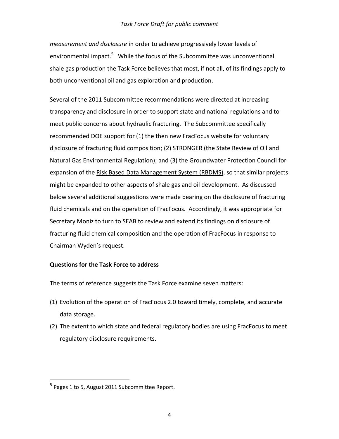*measurement and disclosure* in order to achieve progressively lower levels of environmental impact.<sup>5</sup> While the focus of the Subcommittee was unconventional shale gas production the Task Force believes that most, if not all, of its findings apply to both unconventional oil and gas exploration and production.

Several of the 2011 Subcommittee recommendations were directed at increasing transparency and disclosure in order to support state and national regulations and to meet public concerns about hydraulic fracturing. The Subcommittee specifically recommended DOE support for (1) the then new FracFocus website for voluntary disclosure of fracturing fluid composition; (2) STRONGER (the State Review of Oil and Natural Gas Environmental Regulation); and (3) the Groundwater Protection Council for expansion of the Risk Based Data Management System (RBDMS), so that similar projects might be expanded to other aspects of shale gas and oil development. As discussed below several additional suggestions were made bearing on the disclosure of fracturing fluid chemicals and on the operation of FracFocus. Accordingly, it was appropriate for Secretary Moniz to turn to SEAB to review and extend its findings on disclosure of fracturing fluid chemical composition and the operation of FracFocus in response to Chairman Wyden's request.

#### **Questions for the Task Force to address**

The terms of reference suggests the Task Force examine seven matters:

- (1) Evolution of the operation of FracFocus 2.0 toward timely, complete, and accurate data storage.
- (2) The extent to which state and federal regulatory bodies are using FracFocus to meet regulatory disclosure requirements.

<sup>&</sup>lt;sup>5</sup> Pages 1 to 5, August 2011 Subcommittee Report.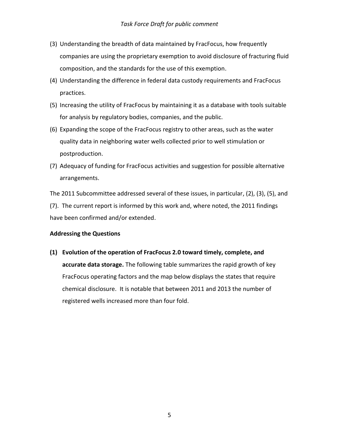- (3) Understanding the breadth of data maintained by FracFocus, how frequently companies are using the proprietary exemption to avoid disclosure of fracturing fluid composition, and the standards for the use of this exemption.
- (4) Understanding the difference in federal data custody requirements and FracFocus practices.
- (5) Increasing the utility of FracFocus by maintaining it as a database with tools suitable for analysis by regulatory bodies, companies, and the public.
- (6) Expanding the scope of the FracFocus registry to other areas, such as the water quality data in neighboring water wells collected prior to well stimulation or postproduction.
- (7) Adequacy of funding for FracFocus activities and suggestion for possible alternative arrangements.

The 2011 Subcommittee addressed several of these issues, in particular, (2), (3), (5), and (7). The current report is informed by this work and, where noted, the 2011 findings have been confirmed and/or extended.

## **Addressing the Questions**

**(1) Evolution of the operation of FracFocus 2.0 toward timely, complete, and accurate data storage.** The following table summarizes the rapid growth of key FracFocus operating factors and the map below displays the states that require chemical disclosure. It is notable that between 2011 and 2013 the number of registered wells increased more than four fold.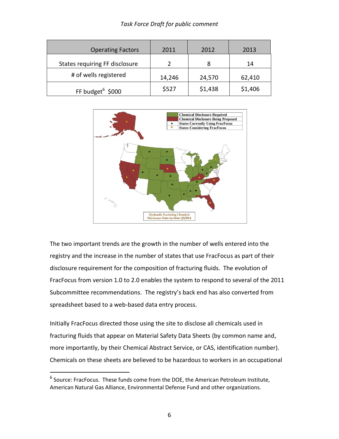| <b>Operating Factors</b>       | 2011   | 2012    | 2013    |
|--------------------------------|--------|---------|---------|
| States requiring FF disclosure |        |         | 14      |
| # of wells registered          | 14,246 | 24,570  | 62,410  |
| FF budget $6$ \$000            | \$527  | \$1,438 | \$1,406 |



The two important trends are the growth in the number of wells entered into the registry and the increase in the number of states that use FracFocus as part of their disclosure requirement for the composition of fracturing fluids. The evolution of FracFocus from version 1.0 to 2.0 enables the system to respond to several of the 2011 Subcommittee recommendations. The registry's back end has also converted from spreadsheet based to a web-based data entry process.

Initially FracFocus directed those using the site to disclose all chemicals used in fracturing fluids that appear on Material Safety Data Sheets (by common name and, more importantly, by their Chemical Abstract Service, or CAS, identification number). Chemicals on these sheets are believed to be hazardous to workers in an occupational

 $^6$  Source: FracFocus. These funds come from the DOE, the American Petroleum Institute, American Natural Gas Alliance, Environmental Defense Fund and other organizations.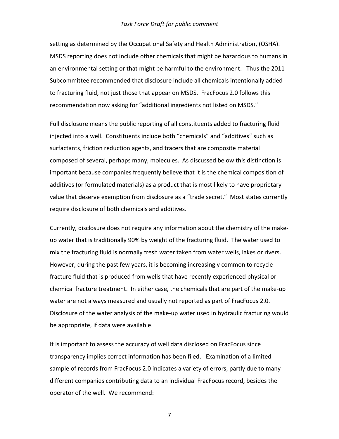setting as determined by the Occupational Safety and Health Administration, (OSHA). MSDS reporting does not include other chemicals that might be hazardous to humans in an environmental setting or that might be harmful to the environment. Thus the 2011 Subcommittee recommended that disclosure include all chemicals intentionally added to fracturing fluid, not just those that appear on MSDS. FracFocus 2.0 follows this recommendation now asking for "additional ingredients not listed on MSDS."

Full disclosure means the public reporting of all constituents added to fracturing fluid injected into a well. Constituents include both "chemicals" and "additives" such as surfactants, friction reduction agents, and tracers that are composite material composed of several, perhaps many, molecules. As discussed below this distinction is important because companies frequently believe that it is the chemical composition of additives (or formulated materials) as a product that is most likely to have proprietary value that deserve exemption from disclosure as a "trade secret." Most states currently require disclosure of both chemicals and additives.

Currently, disclosure does not require any information about the chemistry of the makeup water that is traditionally 90% by weight of the fracturing fluid. The water used to mix the fracturing fluid is normally fresh water taken from water wells, lakes or rivers. However, during the past few years, it is becoming increasingly common to recycle fracture fluid that is produced from wells that have recently experienced physical or chemical fracture treatment. In either case, the chemicals that are part of the make-up water are not always measured and usually not reported as part of FracFocus 2.0. Disclosure of the water analysis of the make-up water used in hydraulic fracturing would be appropriate, if data were available.

It is important to assess the accuracy of well data disclosed on FracFocus since transparency implies correct information has been filed. Examination of a limited sample of records from FracFocus 2.0 indicates a variety of errors, partly due to many different companies contributing data to an individual FracFocus record, besides the operator of the well. We recommend: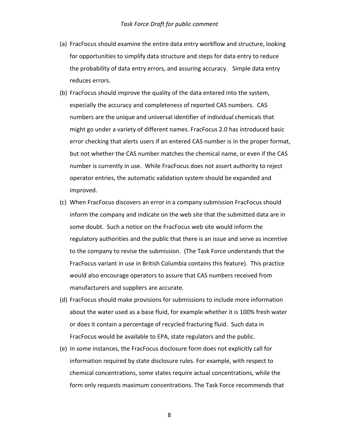- (a) FracFocus should examine the entire data entry workflow and structure, looking for opportunities to simplify data structure and steps for data entry to reduce the probability of data entry errors, and assuring accuracy. Simple data entry reduces errors.
- (b) FracFocus should improve the quality of the data entered into the system, especially the accuracy and completeness of reported CAS numbers. CAS numbers are the unique and universal identifier of individual chemicals that might go under a variety of different names. FracFocus 2.0 has introduced basic error checking that alerts users if an entered CAS number is in the proper format, but not whether the CAS number matches the chemical name, or even if the CAS number is currently in use. While FracFocus does not assert authority to reject operator entries, the automatic validation system should be expanded and improved.
- (c) When FracFocus discovers an error in a company submission FracFocus should inform the company and indicate on the web site that the submitted data are in some doubt. Such a notice on the FracFocus web site would inform the regulatory authorities and the public that there is an issue and serve as incentive to the company to revise the submission. (The Task Force understands that the FracFocus variant in use in British Columbia contains this feature). This practice would also encourage operators to assure that CAS numbers received from manufacturers and suppliers are accurate.
- (d) FracFocus should make provisions for submissions to include more information about the water used as a base fluid, for example whether it is 100% fresh water or does it contain a percentage of recycled fracturing fluid. Such data in FracFocus would be available to EPA, state regulators and the public.
- (e) In some instances, the FracFocus disclosure form does not explicitly call for information required by state disclosure rules. For example, with respect to chemical concentrations, some states require actual concentrations, while the form only requests maximum concentrations. The Task Force recommends that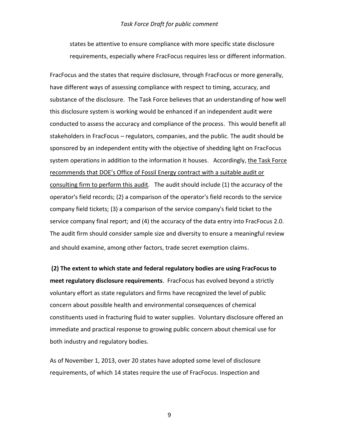states be attentive to ensure compliance with more specific state disclosure requirements, especially where FracFocus requires less or different information.

FracFocus and the states that require disclosure, through FracFocus or more generally, have different ways of assessing compliance with respect to timing, accuracy, and substance of the disclosure. The Task Force believes that an understanding of how well this disclosure system is working would be enhanced if an independent audit were conducted to assess the accuracy and compliance of the process. This would benefit all stakeholders in FracFocus – regulators, companies, and the public. The audit should be sponsored by an independent entity with the objective of shedding light on FracFocus system operations in addition to the information it houses. Accordingly, the Task Force recommends that DOE's Office of Fossil Energy contract with a suitable audit or consulting firm to perform this audit. The audit should include (1) the accuracy of the operator's field records; (2) a comparison of the operator's field records to the service company field tickets; (3) a comparison of the service company's field ticket to the service company final report; and (4) the accuracy of the data entry into FracFocus 2.0. The audit firm should consider sample size and diversity to ensure a meaningful review and should examine, among other factors, trade secret exemption claims.

**(2) The extent to which state and federal regulatory bodies are using FracFocus to meet regulatory disclosure requirements**. FracFocus has evolved beyond a strictly voluntary effort as state regulators and firms have recognized the level of public concern about possible health and environmental consequences of chemical constituents used in fracturing fluid to water supplies. Voluntary disclosure offered an immediate and practical response to growing public concern about chemical use for both industry and regulatory bodies.

As of November 1, 2013, over 20 states have adopted some level of disclosure requirements, of which 14 states require the use of FracFocus. Inspection and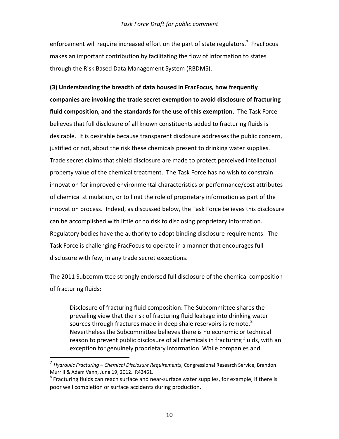enforcement will require increased effort on the part of state regulators.<sup>7</sup> FracFocus makes an important contribution by facilitating the flow of information to states through the Risk Based Data Management System (RBDMS).

**(3) Understanding the breadth of data housed in FracFocus, how frequently companies are invoking the trade secret exemption to avoid disclosure of fracturing fluid composition, and the standards for the use of this exemption**. The Task Force believes that full disclosure of all known constituents added to fracturing fluids is desirable. It is desirable because transparent disclosure addresses the public concern, justified or not, about the risk these chemicals present to drinking water supplies. Trade secret claims that shield disclosure are made to protect perceived intellectual property value of the chemical treatment. The Task Force has no wish to constrain innovation for improved environmental characteristics or performance/cost attributes of chemical stimulation, or to limit the role of proprietary information as part of the innovation process. Indeed, as discussed below, the Task Force believes this disclosure can be accomplished with little or no risk to disclosing proprietary information. Regulatory bodies have the authority to adopt binding disclosure requirements. The Task Force is challenging FracFocus to operate in a manner that encourages full disclosure with few, in any trade secret exceptions.

The 2011 Subcommittee strongly endorsed full disclosure of the chemical composition of fracturing fluids:

Disclosure of fracturing fluid composition: The Subcommittee shares the prevailing view that the risk of fracturing fluid leakage into drinking water sources through fractures made in deep shale reservoirs is remote. $8$ Nevertheless the Subcommittee believes there is no economic or technical reason to prevent public disclosure of all chemicals in fracturing fluids, with an exception for genuinely proprietary information. While companies and

<sup>7</sup> *Hydraulic Fracturing – Chemical Disclosure Requirements*, Congressional Research Service, Brandon Murrill & Adam Vann, June 19, 2012. R42461.

 $^8$  Fracturing fluids can reach surface and near-surface water supplies, for example, if there is poor well completion or surface accidents during production.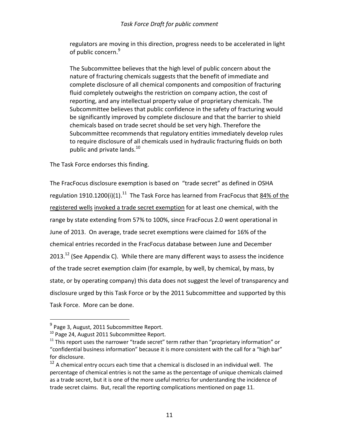regulators are moving in this direction, progress needs to be accelerated in light of public concern.<sup>9</sup>

The Subcommittee believes that the high level of public concern about the nature of fracturing chemicals suggests that the benefit of immediate and complete disclosure of all chemical components and composition of fracturing fluid completely outweighs the restriction on company action, the cost of reporting, and any intellectual property value of proprietary chemicals. The Subcommittee believes that public confidence in the safety of fracturing would be significantly improved by complete disclosure and that the barrier to shield chemicals based on trade secret should be set very high. Therefore the Subcommittee recommends that regulatory entities immediately develop rules to require disclosure of all chemicals used in hydraulic fracturing fluids on both public and private lands.<sup>10</sup>

The Task Force endorses this finding.

The FracFocus disclosure exemption is based on "trade secret" as defined in OSHA regulation 1910.1200(i)(1).<sup>11</sup> The Task Force has learned from FracFocus that  $\underline{84\%}$  of the registered wells invoked a trade secret exemption for at least one chemical, with the range by state extending from 57% to 100%, since FracFocus 2.0 went operational in June of 2013. On average, trade secret exemptions were claimed for 16% of the chemical entries recorded in the FracFocus database between June and December  $2013.<sup>12</sup>$  (See Appendix C). While there are many different ways to assess the incidence of the trade secret exemption claim (for example, by well, by chemical, by mass, by state, or by operating company) this data does not suggest the level of transparency and disclosure urged by this Task Force or by the 2011 Subcommittee and supported by this Task Force. More can be done.

<sup>&</sup>lt;sup>9</sup> Page 3, August, 2011 Subcommittee Report.

<sup>&</sup>lt;sup>10</sup> Page 24, August 2011 Subcommittee Report.

 $11$  This report uses the narrower "trade secret" term rather than "proprietary information" or "confidential business information" because it is more consistent with the call for a "high bar" for disclosure.

 $12$  A chemical entry occurs each time that a chemical is disclosed in an individual well. The percentage of chemical entries is not the same as the percentage of unique chemicals claimed as a trade secret, but it is one of the more useful metrics for understanding the incidence of trade secret claims. But, recall the reporting complications mentioned on page 11.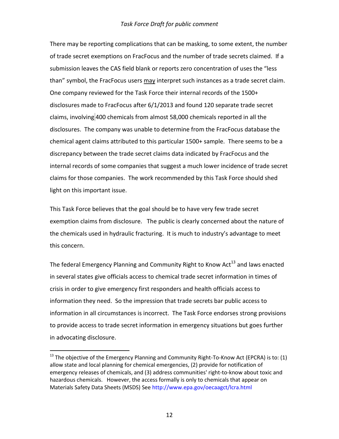There may be reporting complications that can be masking, to some extent, the number of trade secret exemptions on FracFocus and the number of trade secrets claimed. If a submission leaves the CAS field blank or reports zero concentration of uses the "less than" symbol, the FracFocus users may interpret such instances as a trade secret claim. One company reviewed for the Task Force their internal records of the 1500+ disclosures made to FracFocus after 6/1/2013 and found 120 separate trade secret claims, involving 400 chemicals from almost 58,000 chemicals reported in all the disclosures. The company was unable to determine from the FracFocus database the chemical agent claims attributed to this particular 1500+ sample. There seems to be a discrepancy between the trade secret claims data indicated by FracFocus and the internal records of some companies that suggest a much lower incidence of trade secret claims for those companies. The work recommended by this Task Force should shed light on this important issue.

This Task Force believes that the goal should be to have very few trade secret exemption claims from disclosure. The public is clearly concerned about the nature of the chemicals used in hydraulic fracturing. It is much to industry's advantage to meet this concern.

The federal Emergency Planning and Community Right to Know Act<sup>13</sup> and laws enacted in several states give officials access to chemical trade secret information in times of crisis in order to give emergency first responders and health officials access to information they need. So the impression that trade secrets bar public access to information in all circumstances is incorrect. The Task Force endorses strong provisions to provide access to trade secret information in emergency situations but goes further in advocating disclosure.

 $13$  The objective of the Emergency Planning and Community Right-To-Know Act (EPCRA) is to: (1) allow state and local planning for chemical emergencies, (2) provide for notification of emergency releases of chemicals, and (3) address communities' right-to-know about toxic and hazardous chemicals. However, the access formally is only to chemicals that appear on Materials Safety Data Sheets (MSDS) Se[e http://www.epa.gov/oecaagct/lcra.html](http://www.epa.gov/oecaagct/lcra.html)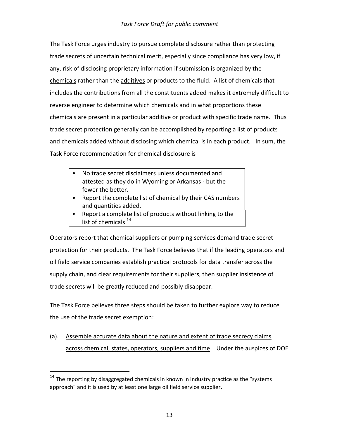The Task Force urges industry to pursue complete disclosure rather than protecting trade secrets of uncertain technical merit, especially since compliance has very low, if any, risk of disclosing proprietary information if submission is organized by the chemicals rather than the additives or products to the fluid. A list of chemicals that includes the contributions from all the constituents added makes it extremely difficult to reverse engineer to determine which chemicals and in what proportions these chemicals are present in a particular additive or product with specific trade name. Thus trade secret protection generally can be accomplished by reporting a list of products and chemicals added without disclosing which chemical is in each product. In sum, the Task Force recommendation for chemical disclosure is

- No trade secret disclaimers unless documented and attested as they do in Wyoming or Arkansas - but the fewer the better.
- Report the complete list of chemical by their CAS numbers and quantities added.
- Report a complete list of products without linking to the list of chemicals  $^{14}$

Operators report that chemical suppliers or pumping services demand trade secret protection for their products. The Task Force believes that if the leading operators and oil field service companies establish practical protocols for data transfer across the supply chain, and clear requirements for their suppliers, then supplier insistence of trade secrets will be greatly reduced and possibly disappear.

The Task Force believes three steps should be taken to further explore way to reduce the use of the trade secret exemption:

(a). Assemble accurate data about the nature and extent of trade secrecy claims across chemical, states, operators, suppliers and time. Under the auspices of DOE

 $14$  The reporting by disaggregated chemicals in known in industry practice as the "systems approach" and it is used by at least one large oil field service supplier.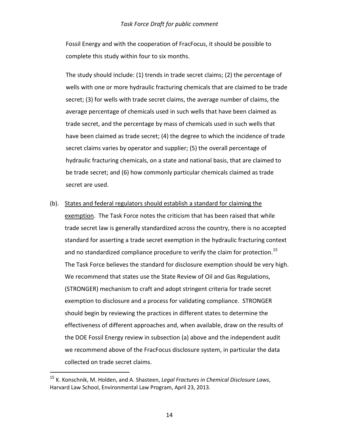Fossil Energy and with the cooperation of FracFocus, it should be possible to complete this study within four to six months.

The study should include: (1) trends in trade secret claims; (2) the percentage of wells with one or more hydraulic fracturing chemicals that are claimed to be trade secret; (3) for wells with trade secret claims, the average number of claims, the average percentage of chemicals used in such wells that have been claimed as trade secret, and the percentage by mass of chemicals used in such wells that have been claimed as trade secret; (4) the degree to which the incidence of trade secret claims varies by operator and supplier; (5) the overall percentage of hydraulic fracturing chemicals, on a state and national basis, that are claimed to be trade secret; and (6) how commonly particular chemicals claimed as trade secret are used.

#### (b). States and federal regulators should establish a standard for claiming the

exemption. The Task Force notes the criticism that has been raised that while trade secret law is generally standardized across the country, there is no accepted standard for asserting a trade secret exemption in the hydraulic fracturing context and no standardized compliance procedure to verify the claim for protection.<sup>15</sup> The Task Force believes the standard for disclosure exemption should be very high. We recommend that states use the State Review of Oil and Gas Regulations, (STRONGER) mechanism to craft and adopt stringent criteria for trade secret exemption to disclosure and a process for validating compliance. STRONGER should begin by reviewing the practices in different states to determine the effectiveness of different approaches and, when available, draw on the results of the DOE Fossil Energy review in subsection (a) above and the independent audit we recommend above of the FracFocus disclosure system, in particular the data collected on trade secret claims.

<sup>15</sup> K. Konschnik, M. Holden, and A. Shasteen, *Legal Fractures in Chemical Disclosure Laws*, Harvard Law School, Environmental Law Program, April 23, 2013.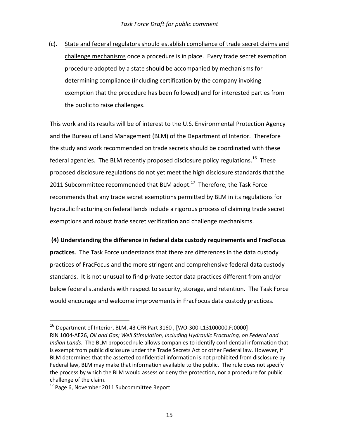(c). State and federal regulators should establish compliance of trade secret claims and challenge mechanisms once a procedure is in place. Every trade secret exemption procedure adopted by a state should be accompanied by mechanisms for determining compliance (including certification by the company invoking exemption that the procedure has been followed) and for interested parties from the public to raise challenges.

This work and its results will be of interest to the U.S. Environmental Protection Agency and the Bureau of Land Management (BLM) of the Department of Interior. Therefore the study and work recommended on trade secrets should be coordinated with these federal agencies. The BLM recently proposed disclosure policy regulations.<sup>16</sup> These proposed disclosure regulations do not yet meet the high disclosure standards that the 2011 Subcommittee recommended that BLM adopt. $17$  Therefore, the Task Force recommends that any trade secret exemptions permitted by BLM in its regulations for hydraulic fracturing on federal lands include a rigorous process of claiming trade secret exemptions and robust trade secret verification and challenge mechanisms.

## **(4) Understanding the difference in federal data custody requirements and FracFocus**

**practices**. The Task Force understands that there are differences in the data custody practices of FracFocus and the more stringent and comprehensive federal data custody standards. It is not unusual to find private sector data practices different from and/or below federal standards with respect to security, storage, and retention. The Task Force would encourage and welcome improvements in FracFocus data custody practices.

 $^{16}$  Department of Interior, BLM, 43 CFR Part 3160, [WO-300-L13100000.FJ0000] RIN 1004-AE26, *Oil and Gas; Well Stimulation, Including Hydraulic Fracturing, on Federal and Indian Lands*. The BLM proposed rule allows companies to identify confidential information that is exempt from public disclosure under the Trade Secrets Act or other Federal law. However, if BLM determines that the asserted confidential information is not prohibited from disclosure by Federal law, BLM may make that information available to the public. The rule does not specify the process by which the BLM would assess or deny the protection, nor a procedure for public challenge of the claim.

 $17$  Page 6, November 2011 Subcommittee Report.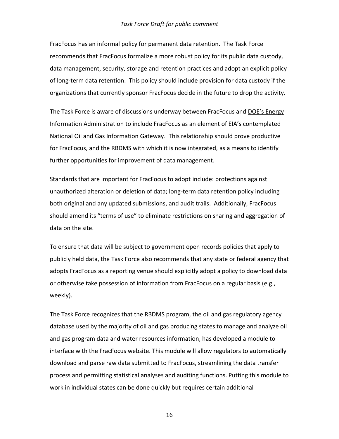FracFocus has an informal policy for permanent data retention. The Task Force recommends that FracFocus formalize a more robust policy for its public data custody, data management, security, storage and retention practices and adopt an explicit policy of long-term data retention. This policy should include provision for data custody if the organizations that currently sponsor FracFocus decide in the future to drop the activity.

The Task Force is aware of discussions underway between FracFocus and DOE's Energy Information Administration to include FracFocus as an element of EIA's contemplated National Oil and Gas Information Gateway. This relationship should prove productive for FracFocus, and the RBDMS with which it is now integrated, as a means to identify further opportunities for improvement of data management.

Standards that are important for FracFocus to adopt include: protections against unauthorized alteration or deletion of data; long-term data retention policy including both original and any updated submissions, and audit trails. Additionally, FracFocus should amend its "terms of use" to eliminate restrictions on sharing and aggregation of data on the site.

To ensure that data will be subject to government open records policies that apply to publicly held data, the Task Force also recommends that any state or federal agency that adopts FracFocus as a reporting venue should explicitly adopt a policy to download data or otherwise take possession of information from FracFocus on a regular basis (e.g., weekly).

The Task Force recognizes that the RBDMS program, the oil and gas regulatory agency database used by the majority of oil and gas producing states to manage and analyze oil and gas program data and water resources information, has developed a module to interface with the FracFocus website. This module will allow regulators to automatically download and parse raw data submitted to FracFocus, streamlining the data transfer process and permitting statistical analyses and auditing functions. Putting this module to work in individual states can be done quickly but requires certain additional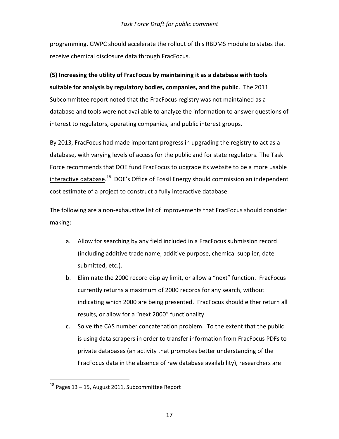programming. GWPC should accelerate the rollout of this RBDMS module to states that receive chemical disclosure data through FracFocus.

**(5) Increasing the utility of FracFocus by maintaining it as a database with tools suitable for analysis by regulatory bodies, companies, and the public**. The 2011 Subcommittee report noted that the FracFocus registry was not maintained as a database and tools were not available to analyze the information to answer questions of interest to regulators, operating companies, and public interest groups.

By 2013, FracFocus had made important progress in upgrading the registry to act as a database, with varying levels of access for the public and for state regulators. The Task Force recommends that DOE fund FracFocus to upgrade its website to be a more usable interactive database.<sup>18</sup> DOE's Office of Fossil Energy should commission an independent cost estimate of a project to construct a fully interactive database.

The following are a non-exhaustive list of improvements that FracFocus should consider making:

- a. Allow for searching by any field included in a FracFocus submission record (including additive trade name, additive purpose, chemical supplier, date submitted, etc.).
- b. Eliminate the 2000 record display limit, or allow a "next" function. FracFocus currently returns a maximum of 2000 records for any search, without indicating which 2000 are being presented. FracFocus should either return all results, or allow for a "next 2000" functionality.
- c. Solve the CAS number concatenation problem. To the extent that the public is using data scrapers in order to transfer information from FracFocus PDFs to private databases (an activity that promotes better understanding of the FracFocus data in the absence of raw database availability), researchers are

 $18$  Pages 13 – 15, August 2011, Subcommittee Report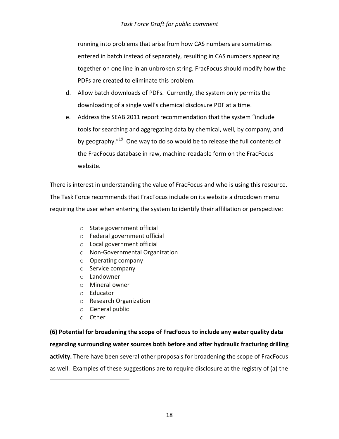running into problems that arise from how CAS numbers are sometimes entered in batch instead of separately, resulting in CAS numbers appearing together on one line in an unbroken string. FracFocus should modify how the PDFs are created to eliminate this problem.

- d. Allow batch downloads of PDFs. Currently, the system only permits the downloading of a single well's chemical disclosure PDF at a time.
- e. Address the SEAB 2011 report recommendation that the system "include tools for searching and aggregating data by chemical, well, by company, and by geography."<sup>19</sup> One way to do so would be to release the full contents of the FracFocus database in raw, machine-readable form on the FracFocus website.

There is interest in understanding the value of FracFocus and who is using this resource. The Task Force recommends that FracFocus include on its website a dropdown menu requiring the user when entering the system to identify their affiliation or perspective:

- o State government official
- o Federal government official
- o Local government official
- o Non-Governmental Organization
- o Operating company
- o Service company
- o Landowner
- o Mineral owner
- o Educator
- o Research Organization
- o General public
- o Other

 $\overline{a}$ 

**(6) Potential for broadening the scope of FracFocus to include any water quality data regarding surrounding water sources both before and after hydraulic fracturing drilling activity.** There have been several other proposals for broadening the scope of FracFocus as well. Examples of these suggestions are to require disclosure at the registry of (a) the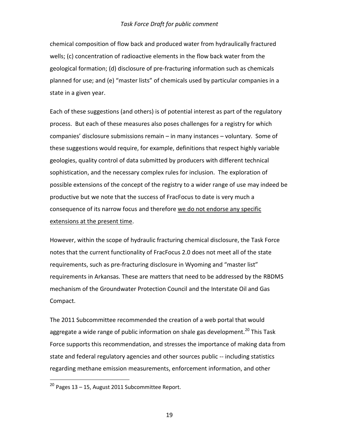chemical composition of flow back and produced water from hydraulically fractured wells; (c) concentration of radioactive elements in the flow back water from the geological formation; (d) disclosure of pre-fracturing information such as chemicals planned for use; and (e) "master lists" of chemicals used by particular companies in a state in a given year.

Each of these suggestions (and others) is of potential interest as part of the regulatory process. But each of these measures also poses challenges for a registry for which companies' disclosure submissions remain – in many instances – voluntary. Some of these suggestions would require, for example, definitions that respect highly variable geologies, quality control of data submitted by producers with different technical sophistication, and the necessary complex rules for inclusion. The exploration of possible extensions of the concept of the registry to a wider range of use may indeed be productive but we note that the success of FracFocus to date is very much a consequence of its narrow focus and therefore we do not endorse any specific extensions at the present time.

However, within the scope of hydraulic fracturing chemical disclosure, the Task Force notes that the current functionality of FracFocus 2.0 does not meet all of the state requirements, such as pre-fracturing disclosure in Wyoming and "master list" requirements in Arkansas. These are matters that need to be addressed by the RBDMS mechanism of the Groundwater Protection Council and the Interstate Oil and Gas Compact.

The 2011 Subcommittee recommended the creation of a web portal that would aggregate a wide range of public information on shale gas development.<sup>20</sup> This Task Force supports this recommendation, and stresses the importance of making data from state and federal regulatory agencies and other sources public -- including statistics regarding methane emission measurements, enforcement information, and other

 $^{20}$  Pages 13 – 15, August 2011 Subcommittee Report.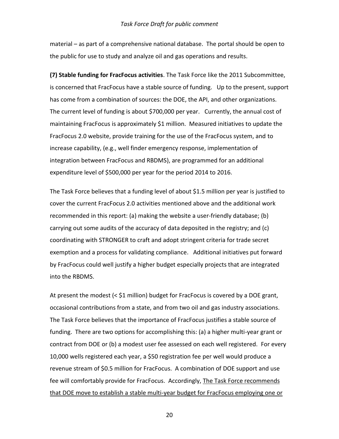material – as part of a comprehensive national database. The portal should be open to the public for use to study and analyze oil and gas operations and results.

**(7) Stable funding for FracFocus activities**. The Task Force like the 2011 Subcommittee, is concerned that FracFocus have a stable source of funding. Up to the present, support has come from a combination of sources: the DOE, the API, and other organizations. The current level of funding is about \$700,000 per year. Currently, the annual cost of maintaining FracFocus is approximately \$1 million. Measured initiatives to update the FracFocus 2.0 website, provide training for the use of the FracFocus system, and to increase capability, (e.g., well finder emergency response, implementation of integration between FracFocus and RBDMS), are programmed for an additional expenditure level of \$500,000 per year for the period 2014 to 2016.

The Task Force believes that a funding level of about \$1.5 million per year is justified to cover the current FracFocus 2.0 activities mentioned above and the additional work recommended in this report: (a) making the website a user-friendly database; (b) carrying out some audits of the accuracy of data deposited in the registry; and (c) coordinating with STRONGER to craft and adopt stringent criteria for trade secret exemption and a process for validating compliance. Additional initiatives put forward by FracFocus could well justify a higher budget especially projects that are integrated into the RBDMS.

At present the modest (< \$1 million) budget for FracFocus is covered by a DOE grant, occasional contributions from a state, and from two oil and gas industry associations. The Task Force believes that the importance of FracFocus justifies a stable source of funding. There are two options for accomplishing this: (a) a higher multi-year grant or contract from DOE or (b) a modest user fee assessed on each well registered. For every 10,000 wells registered each year, a \$50 registration fee per well would produce a revenue stream of \$0.5 million for FracFocus. A combination of DOE support and use fee will comfortably provide for FracFocus. Accordingly, The Task Force recommends that DOE move to establish a stable multi-year budget for FracFocus employing one or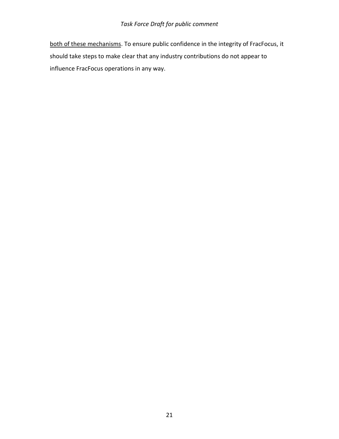both of these mechanisms. To ensure public confidence in the integrity of FracFocus, it should take steps to make clear that any industry contributions do not appear to influence FracFocus operations in any way.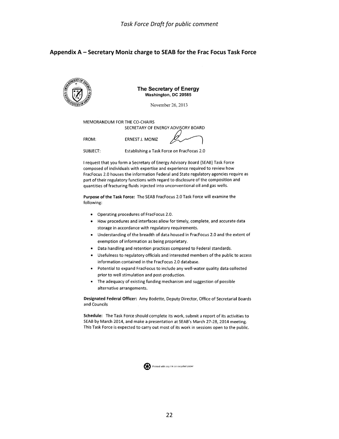#### **Appendix A – Secretary Moniz charge to SEAB for the Frac Focus Task Force**



SUBJECT: Establishing a Task Force on FracFocus 2.0

I request that you form a Secretary of Energy Advisory Board (SEAB) Task Force composed of individuals with expertise and experience required to review how FracFocus 2.0 houses the information Federal and State regulatory agencies require as part of their regulatory functions with regard to disclosure of the composition and quantities of fracturing fluids injected into unconventional oil and gas wells.

Purpose of the Task Force: The SEAB FracFocus 2.0 Task Force will examine the following:

- Operating procedures of FracFocus 2.0.
- How procedures and interfaces allow for timely, complete, and accurate data storage in accordance with regulatory requirements.
- Understanding of the breadth of data housed in FracFocus 2.0 and the extent of  $\bullet$ exemption of information as being proprietary.
- Data handling and retention practices compared to Federal standards.
- Usefulness to regulatory officials and interested members of the public to access information contained in the FracFocus 2.0 database.
- Potential to expand FracFocus to include any well-water quality data collected prior to well stimulation and post-production.
- The adequacy of existing funding mechanism and suggestion of possible  $\bullet$ alternative arrangements.

Designated Federal Officer: Amy Bodette, Deputy Director, Office of Secretarial Boards and Councils

Schedule: The Task Force should complete its work, submit a report of its activities to SEAB by March 2014, and make a presentation at SEAB's March 27-28, 2014 meeting. This Task Force is expected to carry out most of its work in sessions open to the public.

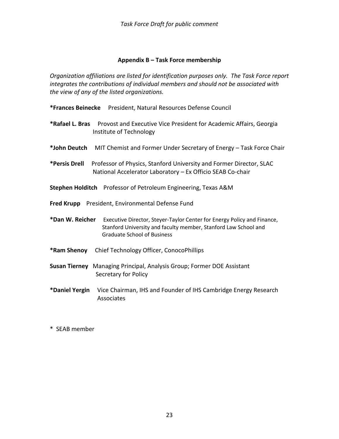# **Appendix B – Task Force membership**

*Organization affiliations are listed for identification purposes only. The Task Force report integrates the contributions of individual members and should not be associated with the view of any of the listed organizations.* 

- **\*Frances Beinecke** President, Natural Resources Defense Council
- **\*Rafael L. Bras** Provost and Executive Vice President for Academic Affairs, Georgia Institute of Technology
- **\*John Deutch** MIT Chemist and Former Under Secretary of Energy Task Force Chair
- **\*Persis Drell** Professor of Physics, Stanford University and Former Director, SLAC National Accelerator Laboratory – Ex Officio SEAB Co-chair
- **Stephen Holditch** Professor of Petroleum Engineering, Texas A&M
- **Fred Krupp** President, Environmental Defense Fund

**\*Dan W. Reicher** Executive Director, Steyer-Taylor Center for Energy Policy and Finance, Stanford University and faculty member, Stanford Law School and Graduate School of Business

- **\*Ram Shenoy** Chief Technology Officer, ConocoPhillips
- **Susan Tierney** Managing Principal, Analysis Group; Former DOE Assistant Secretary for Policy
- **\*Daniel Yergin** Vice Chairman, IHS and Founder of IHS Cambridge Energy Research Associates
- \* SEAB member